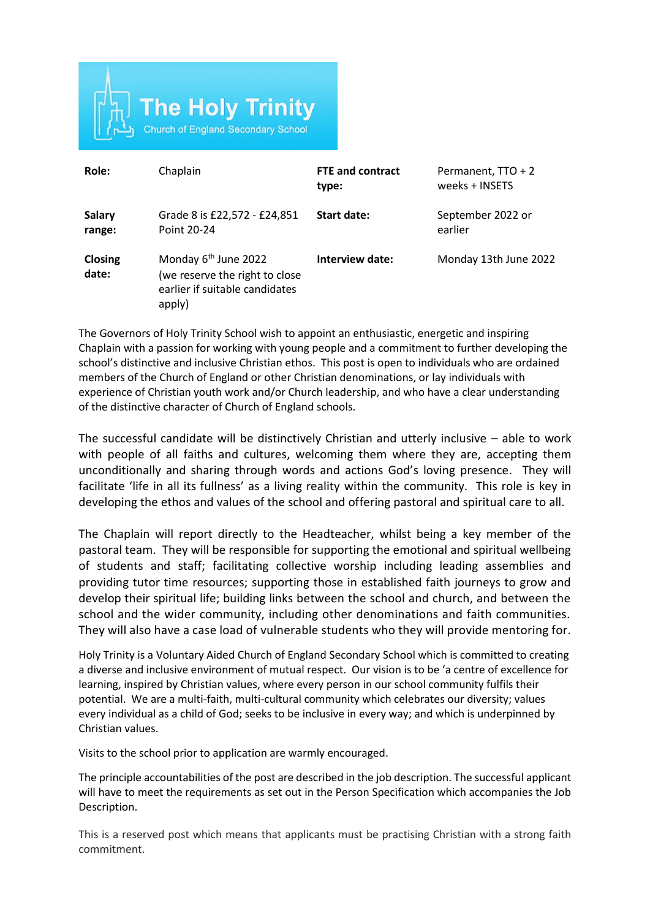

| Role:                   | Chaplain                                                                                                       | <b>FTE and contract</b><br>type: | Permanent, TTO + 2<br>weeks + INSETS |
|-------------------------|----------------------------------------------------------------------------------------------------------------|----------------------------------|--------------------------------------|
| <b>Salary</b><br>range: | Grade 8 is £22,572 - £24,851<br>Point 20-24                                                                    | Start date:                      | September 2022 or<br>earlier         |
| Closing<br>date:        | Monday 6 <sup>th</sup> June 2022<br>(we reserve the right to close<br>earlier if suitable candidates<br>apply) | Interview date:                  | Monday 13th June 2022                |

The Governors of Holy Trinity School wish to appoint an enthusiastic, energetic and inspiring Chaplain with a passion for working with young people and a commitment to further developing the school's distinctive and inclusive Christian ethos. This post is open to individuals who are ordained members of the Church of England or other Christian denominations, or lay individuals with experience of Christian youth work and/or Church leadership, and who have a clear understanding of the distinctive character of Church of England schools.

The successful candidate will be distinctively Christian and utterly inclusive – able to work with people of all faiths and cultures, welcoming them where they are, accepting them unconditionally and sharing through words and actions God's loving presence. They will facilitate 'life in all its fullness' as a living reality within the community. This role is key in developing the ethos and values of the school and offering pastoral and spiritual care to all.

The Chaplain will report directly to the Headteacher, whilst being a key member of the pastoral team. They will be responsible for supporting the emotional and spiritual wellbeing of students and staff; facilitating collective worship including leading assemblies and providing tutor time resources; supporting those in established faith journeys to grow and develop their spiritual life; building links between the school and church, and between the school and the wider community, including other denominations and faith communities. They will also have a case load of vulnerable students who they will provide mentoring for.

Holy Trinity is a Voluntary Aided Church of England Secondary School which is committed to creating a diverse and inclusive environment of mutual respect. Our vision is to be 'a centre of excellence for learning, inspired by Christian values, where every person in our school community fulfils their potential. We are a multi-faith, multi-cultural community which celebrates our diversity; values every individual as a child of God; seeks to be inclusive in every way; and which is underpinned by Christian values.

Visits to the school prior to application are warmly encouraged.

The principle accountabilities of the post are described in the job description. The successful applicant will have to meet the requirements as set out in the Person Specification which accompanies the Job Description.

This is a reserved post which means that applicants must be practising Christian with a strong faith commitment.